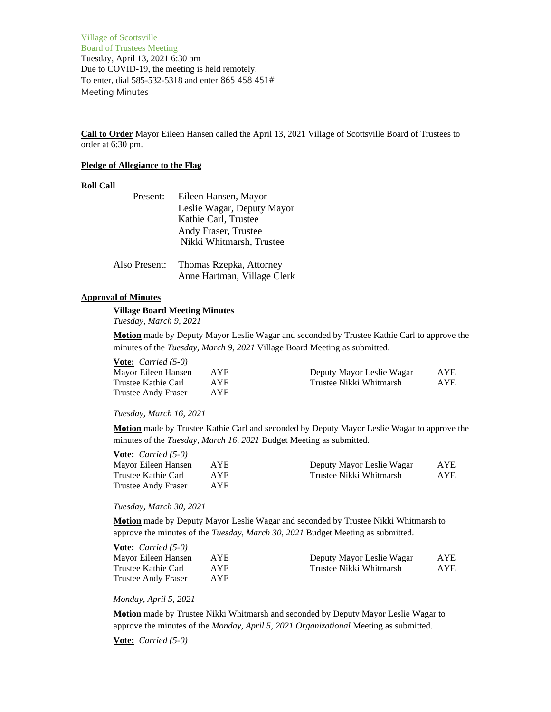Village of Scottsville Board of Trustees Meeting Tuesday, April 13, 2021 6:30 pm Due to COVID-19, the meeting is held remotely. To enter, dial 585-532-5318 and enter 865 458 451# Meeting Minutes

**Call to Order** Mayor Eileen Hansen called the April 13, 2021 Village of Scottsville Board of Trustees to order at 6:30 pm.

#### **Pledge of Allegiance to the Flag**

#### **Roll Call**

| Present:      | Eileen Hansen, Mayor        |
|---------------|-----------------------------|
|               | Leslie Wagar, Deputy Mayor  |
|               | Kathie Carl, Trustee        |
|               | Andy Fraser, Trustee        |
|               | Nikki Whitmarsh, Trustee    |
|               |                             |
| Also Present: | Thomas Rzepka, Attorney     |
|               | Anne Hartman, Village Clerk |

### **Approval of Minutes**

# **Village Board Meeting Minutes** *Tuesday, March 9, 2021*

**Motion** made by Deputy Mayor Leslie Wagar and seconded by Trustee Kathie Carl to approve the minutes of the *Tuesday, March 9, 2021* Village Board Meeting as submitted.

| <b>Vote:</b> <i>Carried</i> $(5-0)$ |            |                           |      |
|-------------------------------------|------------|---------------------------|------|
| Mayor Eileen Hansen                 | <b>AYE</b> | Deputy Mayor Leslie Wagar | AYE. |
| Trustee Kathie Carl                 | AYE.       | Trustee Nikki Whitmarsh   | AYE. |
| Trustee Andy Fraser                 | AYE.       |                           |      |

### *Tuesday, March 16, 2021*

**Motion** made by Trustee Kathie Carl and seconded by Deputy Mayor Leslie Wagar to approve the minutes of the *Tuesday, March 16, 2021* Budget Meeting as submitted.

| <b>Vote:</b> <i>Carried</i> $(5-0)$ |      |                           |      |
|-------------------------------------|------|---------------------------|------|
| Mayor Eileen Hansen                 | AYE. | Deputy Mayor Leslie Wagar | AYE. |
| Trustee Kathie Carl                 | AYE. | Trustee Nikki Whitmarsh   | AYE. |
| Trustee Andy Fraser                 | AYE. |                           |      |
|                                     |      |                           |      |

*Tuesday, March 30, 2021*

**Motion** made by Deputy Mayor Leslie Wagar and seconded by Trustee Nikki Whitmarsh to approve the minutes of the *Tuesday, March 30, 2021* Budget Meeting as submitted.

| <b>Vote:</b> <i>Carried</i> $(5-0)$ |            |                           |            |
|-------------------------------------|------------|---------------------------|------------|
| Mayor Eileen Hansen                 | <b>AYE</b> | Deputy Mayor Leslie Wagar | <b>AYE</b> |
| Trustee Kathie Carl                 | AYE.       | Trustee Nikki Whitmarsh   | AYE.       |
| <b>Trustee Andy Fraser</b>          | AYE.       |                           |            |

*Monday, April 5, 2021*

**Motion** made by Trustee Nikki Whitmarsh and seconded by Deputy Mayor Leslie Wagar to approve the minutes of the *Monday, April 5, 2021 Organizational* Meeting as submitted.

**Vote:** *Carried (5-0)*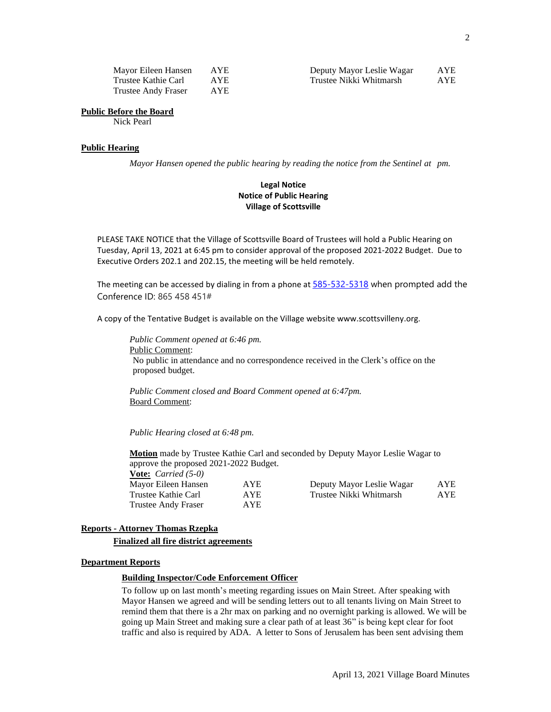| Mayor Eileen Hansen        | <b>AYE</b> |
|----------------------------|------------|
| Trustee Kathie Carl        | <b>AYE</b> |
| <b>Trustee Andy Fraser</b> | <b>AYE</b> |

| Mayor Eileen Hansen | AYE. | Deputy Mayor Leslie Wagar | $_{\rm AYE}$ |
|---------------------|------|---------------------------|--------------|
| Trustee Kathie Carl | AYE. | Trustee Nikki Whitmarsh   | AYE          |

### **Public Before the Board**

Nick Pearl

# **Public Hearing**

*Mayor Hansen opened the public hearing by reading the notice from the Sentinel at pm.*

# **Legal Notice Notice of Public Hearing Village of Scottsville**

PLEASE TAKE NOTICE that the Village of Scottsville Board of Trustees will hold a Public Hearing on Tuesday, April 13, 2021 at 6:45 pm to consider approval of the proposed 2021-2022 Budget. Due to Executive Orders 202.1 and 202.15, the meeting will be held remotely.

The meeting can be accessed by dialing in from a phone at [585-532-5318](tel:+1%20585-532-5318,,201441081# ) when prompted add the Conference ID: 865 458 451#

A copy of the Tentative Budget is available on the Village website www.scottsvilleny.org.

*Public Comment opened at 6:46 pm.* Public Comment: No public in attendance and no correspondence received in the Clerk's office on the proposed budget.

*Public Comment closed and Board Comment opened at 6:47pm.* Board Comment:

*Public Hearing closed at 6:48 pm.*

**Motion** made by Trustee Kathie Carl and seconded by Deputy Mayor Leslie Wagar to approve the proposed 2021-2022 Budget.

**Vote:** *Carried (5-0)* Trustee Andy Fraser AYE

Mayor Eileen Hansen AYE Deputy Mayor Leslie Wagar AYE<br>
Trustee Kathie Carl AYE Trustee Nikki Whitmarsh AYE Trustee Kathie Carl AYE Trustee Nikki Whitmarsh AYE

# **Reports - Attorney Thomas Rzepka**

#### **Finalized all fire district agreements**

# **Department Reports**

### **Building Inspector/Code Enforcement Officer**

To follow up on last month's meeting regarding issues on Main Street. After speaking with Mayor Hansen we agreed and will be sending letters out to all tenants living on Main Street to remind them that there is a 2hr max on parking and no overnight parking is allowed. We will be going up Main Street and making sure a clear path of at least 36" is being kept clear for foot traffic and also is required by ADA. A letter to Sons of Jerusalem has been sent advising them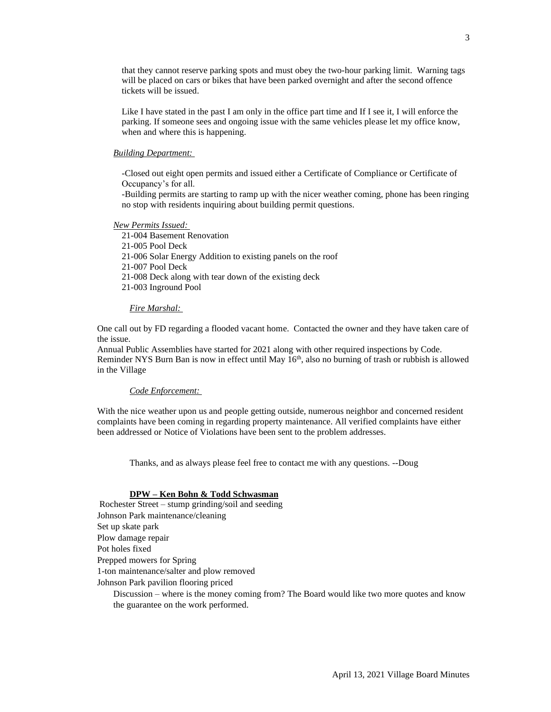that they cannot reserve parking spots and must obey the two-hour parking limit. Warning tags will be placed on cars or bikes that have been parked overnight and after the second offence tickets will be issued.

Like I have stated in the past I am only in the office part time and If I see it, I will enforce the parking. If someone sees and ongoing issue with the same vehicles please let my office know, when and where this is happening.

#### *Building Department:*

-Closed out eight open permits and issued either a Certificate of Compliance or Certificate of Occupancy's for all.

-Building permits are starting to ramp up with the nicer weather coming, phone has been ringing no stop with residents inquiring about building permit questions.

*New Permits Issued:* 

21-004 Basement Renovation

21-005 Pool Deck

21-006 Solar Energy Addition to existing panels on the roof

21-007 Pool Deck

21-008 Deck along with tear down of the existing deck

21-003 Inground Pool

#### *Fire Marshal:*

One call out by FD regarding a flooded vacant home. Contacted the owner and they have taken care of the issue.

Annual Public Assemblies have started for 2021 along with other required inspections by Code. Reminder NYS Burn Ban is now in effect until May 16<sup>th</sup>, also no burning of trash or rubbish is allowed in the Village

### *Code Enforcement:*

With the nice weather upon us and people getting outside, numerous neighbor and concerned resident complaints have been coming in regarding property maintenance. All verified complaints have either been addressed or Notice of Violations have been sent to the problem addresses.

Thanks, and as always please feel free to contact me with any questions. --Doug

### **DPW – Ken Bohn & Todd Schwasman**

Rochester Street – stump grinding/soil and seeding Johnson Park maintenance/cleaning Set up skate park Plow damage repair Pot holes fixed Prepped mowers for Spring 1-ton maintenance/salter and plow removed Johnson Park pavilion flooring priced

Discussion – where is the money coming from? The Board would like two more quotes and know the guarantee on the work performed.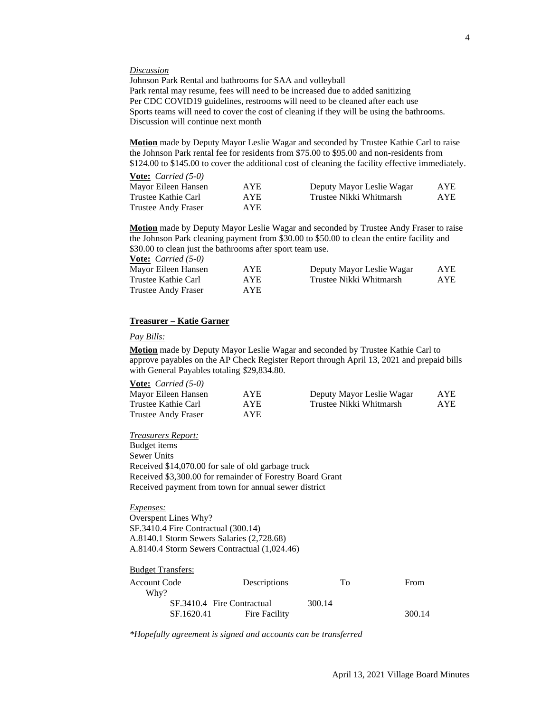#### *Discussion*

Johnson Park Rental and bathrooms for SAA and volleyball Park rental may resume, fees will need to be increased due to added sanitizing Per CDC COVID19 guidelines, restrooms will need to be cleaned after each use Sports teams will need to cover the cost of cleaning if they will be using the bathrooms. Discussion will continue next month

**Motion** made by Deputy Mayor Leslie Wagar and seconded by Trustee Kathie Carl to raise the Johnson Park rental fee for residents from \$75.00 to \$95.00 and non-residents from \$124.00 to \$145.00 to cover the additional cost of cleaning the facility effective immediately.

| <b><u>Vote:</u></b> <i>Carried</i> $(5-0)$ |            |                           |      |
|--------------------------------------------|------------|---------------------------|------|
| Mayor Eileen Hansen                        | <b>AYE</b> | Deputy Mayor Leslie Wagar | AYE. |
| Trustee Kathie Carl                        | AYE.       | Trustee Nikki Whitmarsh   | AYE. |
| Trustee Andy Fraser                        | AYE.       |                           |      |

**Motion** made by Deputy Mayor Leslie Wagar and seconded by Trustee Andy Fraser to raise the Johnson Park cleaning payment from \$30.00 to \$50.00 to clean the entire facility and \$30.00 to clean just the bathrooms after sport team use.<br>Motor Canni  $d(5,0)$ **Vote:** *Carried (5-0)*

| <b>vote:</b> Carriea $(3-0)$ |            |                           |            |
|------------------------------|------------|---------------------------|------------|
| Mayor Eileen Hansen          | <b>AYE</b> | Deputy Mayor Leslie Wagar | AYE        |
| Trustee Kathie Carl          | AYE.       | Trustee Nikki Whitmarsh   | <b>AYE</b> |
| <b>Trustee Andy Fraser</b>   | AYE.       |                           |            |

# **Treasurer – Katie Garner**

### *Pay Bills:*

**Motion** made by Deputy Mayor Leslie Wagar and seconded by Trustee Kathie Carl to approve payables on the AP Check Register Report through April 13, 2021 and prepaid bills with General Payables totaling *\$*29,834.80.

#### **Vote:** *Carried (5-0)*

| Mayor Eileen Hansen        | <b>AYE</b> | Deputy Mayor Leslie Wagar | <b>AYE</b> |
|----------------------------|------------|---------------------------|------------|
| Trustee Kathie Carl        | AYE.       | Trustee Nikki Whitmarsh   | <b>AYE</b> |
| <b>Trustee Andy Fraser</b> | AYE.       |                           |            |

*Treasurers Report:*

Budget items Sewer Units Received \$14,070.00 for sale of old garbage truck Received \$3,300.00 for remainder of Forestry Board Grant Received payment from town for annual sewer district

#### *Expenses:*

Budget Transfers:

Overspent Lines Why? SF.3410.4 Fire Contractual (300.14) A.8140.1 Storm Sewers Salaries (2,728.68) A.8140.4 Storm Sewers Contractual (1,024.46)

| Descriptions                | To     | From   |
|-----------------------------|--------|--------|
|                             |        |        |
| SF.3410.4 Fire Contractual  | 300.14 |        |
| SF.1620.41<br>Fire Facility |        | 300.14 |
|                             |        |        |

*\*Hopefully agreement is signed and accounts can be transferred*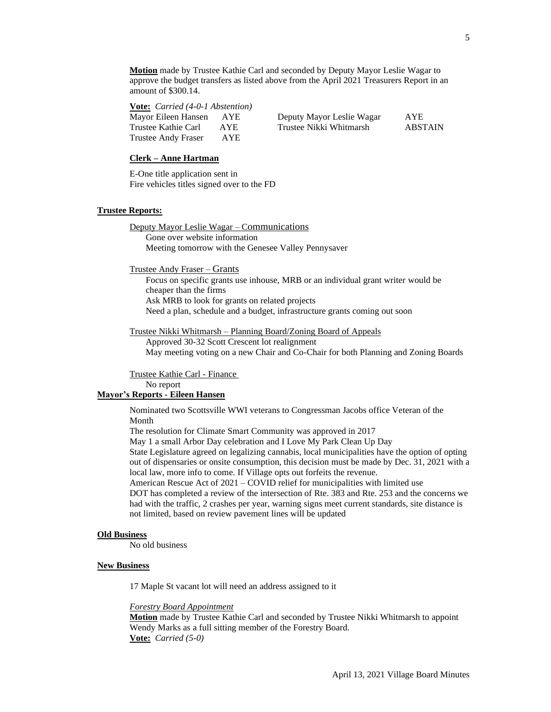**Motion** made by Trustee Kathie Carl and seconded by Deputy Mayor Leslie Wagar to approve the budget transfers as listed above from the April 2021 Treasurers Report in an amount of \$300.14.

**Vote:** *Carried (4-0-1 Abstention)*

| Mayor Eileen Hansen | AYE. | Deputy Mayor Leslie Wagar | <b>AYE</b> |
|---------------------|------|---------------------------|------------|
| Trustee Kathie Carl | AYE. | Trustee Nikki Whitmarsh   | ABSTAIN    |
| Trustee Andy Fraser | AYE. |                           |            |

#### **Clerk – Anne Hartman**

E-One title application sent in Fire vehicles titles signed over to the FD

#### **Trustee Reports:**

Deputy Mayor Leslie Wagar – Communications Gone over website information Meeting tomorrow with the Genesee Valley Pennysaver

Trustee Andy Fraser – Grants

Focus on specific grants use inhouse, MRB or an individual grant writer would be cheaper than the firms Ask MRB to look for grants on related projects Need a plan, schedule and a budget, infrastructure grants coming out soon

Trustee Nikki Whitmarsh – Planning Board/Zoning Board of Appeals

Approved 30-32 Scott Crescent lot realignment May meeting voting on a new Chair and Co-Chair for both Planning and Zoning Boards

Trustee Kathie Carl - Finance No report

### **Mayor's Reports - Eileen Hansen**

Nominated two Scottsville WWI veterans to Congressman Jacobs office Veteran of the Month

The resolution for Climate Smart Community was approved in 2017

May 1 a small Arbor Day celebration and I Love My Park Clean Up Day

State Legislature agreed on legalizing cannabis, local municipalities have the option of opting out of dispensaries or onsite consumption, this decision must be made by Dec. 31, 2021 with a local law, more info to come. If Village opts out forfeits the revenue.

American Rescue Act of 2021 – COVID relief for municipalities with limited use DOT has completed a review of the intersection of Rte. 383 and Rte. 253 and the concerns we had with the traffic, 2 crashes per year, warning signs meet current standards, site distance is not limited, based on review pavement lines will be updated

#### **Old Business**

No old business

#### **New Business**

17 Maple St vacant lot will need an address assigned to it

#### *Forestry Board Appointment*

**Motion** made by Trustee Kathie Carl and seconded by Trustee Nikki Whitmarsh to appoint Wendy Marks as a full sitting member of the Forestry Board. **Vote:** *Carried (5-0)*